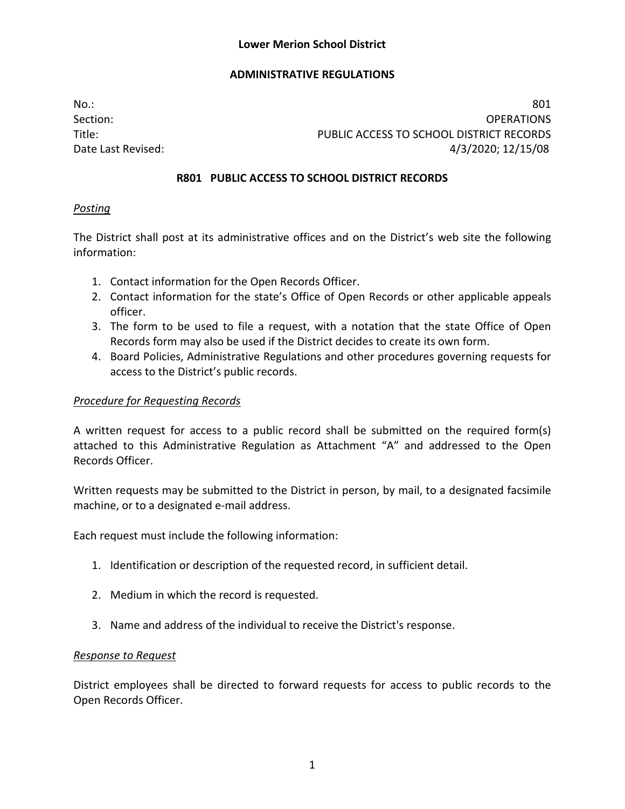No.: 801 Section: OPERATIONS Title: PUBLIC ACCESS TO SCHOOL DISTRICT RECORDS Date Last Revised: 4/3/2020; 12/15/08

### **R801 PUBLIC ACCESS TO SCHOOL DISTRICT RECORDS**

### *Posting*

The District shall post at its administrative offices and on the District's web site the following information:

- 1. Contact information for the Open Records Officer.
- 2. Contact information for the state's Office of Open Records or other applicable appeals officer.
- 3. The form to be used to file a request, with a notation that the state Office of Open Records form may also be used if the District decides to create its own form.
- 4. Board Policies, Administrative Regulations and other procedures governing requests for access to the District's public records.

## *Procedure for Requesting Records*

A written request for access to a public record shall be submitted on the required form(s) attached to this Administrative Regulation as Attachment "A" and addressed to the Open Records Officer.

Written requests may be submitted to the District in person, by mail, to a designated facsimile machine, or to a designated e-mail address.

Each request must include the following information:

- 1. Identification or description of the requested record, in sufficient detail.
- 2. Medium in which the record is requested.
- 3. Name and address of the individual to receive the District's response.

### *Response to Request*

District employees shall be directed to forward requests for access to public records to the Open Records Officer.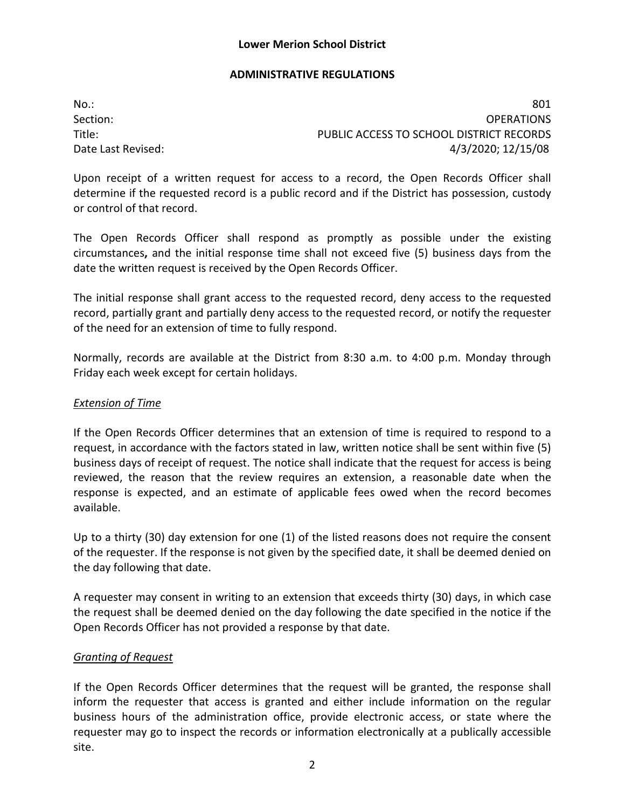No.: 801 Section: OPERATIONS Title: PUBLIC ACCESS TO SCHOOL DISTRICT RECORDS Date Last Revised: 4/3/2020; 12/15/08

Upon receipt of a written request for access to a record, the Open Records Officer shall determine if the requested record is a public record and if the District has possession, custody or control of that record.

The Open Records Officer shall respond as promptly as possible under the existing circumstances**,** and the initial response time shall not exceed five (5) business days from the date the written request is received by the Open Records Officer.

The initial response shall grant access to the requested record, deny access to the requested record, partially grant and partially deny access to the requested record, or notify the requester of the need for an extension of time to fully respond.

Normally, records are available at the District from 8:30 a.m. to 4:00 p.m. Monday through Friday each week except for certain holidays.

#### *Extension of Time*

If the Open Records Officer determines that an extension of time is required to respond to a request, in accordance with the factors stated in law, written notice shall be sent within five (5) business days of receipt of request. The notice shall indicate that the request for access is being reviewed, the reason that the review requires an extension, a reasonable date when the response is expected, and an estimate of applicable fees owed when the record becomes available.

Up to a thirty (30) day extension for one (1) of the listed reasons does not require the consent of the requester. If the response is not given by the specified date, it shall be deemed denied on the day following that date.

A requester may consent in writing to an extension that exceeds thirty (30) days, in which case the request shall be deemed denied on the day following the date specified in the notice if the Open Records Officer has not provided a response by that date.

### *Granting of Request*

If the Open Records Officer determines that the request will be granted, the response shall inform the requester that access is granted and either include information on the regular business hours of the administration office, provide electronic access, or state where the requester may go to inspect the records or information electronically at a publically accessible site.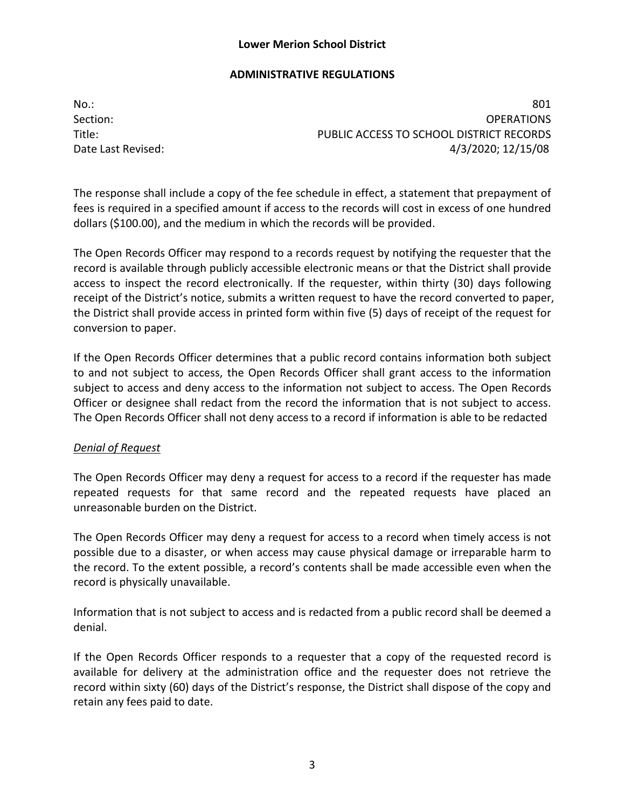### **Lower Merion School District**

### **ADMINISTRATIVE REGULATIONS**

No.: 801 Section: OPERATIONS Title: PUBLIC ACCESS TO SCHOOL DISTRICT RECORDS Date Last Revised: 4/3/2020; 12/15/08

The response shall include a copy of the fee schedule in effect, a statement that prepayment of fees is required in a specified amount if access to the records will cost in excess of one hundred dollars (\$100.00), and the medium in which the records will be provided.

The Open Records Officer may respond to a records request by notifying the requester that the record is available through publicly accessible electronic means or that the District shall provide access to inspect the record electronically. If the requester, within thirty (30) days following receipt of the District's notice, submits a written request to have the record converted to paper, the District shall provide access in printed form within five (5) days of receipt of the request for conversion to paper.

If the Open Records Officer determines that a public record contains information both subject to and not subject to access, the Open Records Officer shall grant access to the information subject to access and deny access to the information not subject to access. The Open Records Officer or designee shall redact from the record the information that is not subject to access. The Open Records Officer shall not deny access to a record if information is able to be redacted

### *Denial of Request*

The Open Records Officer may deny a request for access to a record if the requester has made repeated requests for that same record and the repeated requests have placed an unreasonable burden on the District.

The Open Records Officer may deny a request for access to a record when timely access is not possible due to a disaster, or when access may cause physical damage or irreparable harm to the record. To the extent possible, a record's contents shall be made accessible even when the record is physically unavailable.

Information that is not subject to access and is redacted from a public record shall be deemed a denial.

If the Open Records Officer responds to a requester that a copy of the requested record is available for delivery at the administration office and the requester does not retrieve the record within sixty (60) days of the District's response, the District shall dispose of the copy and retain any fees paid to date.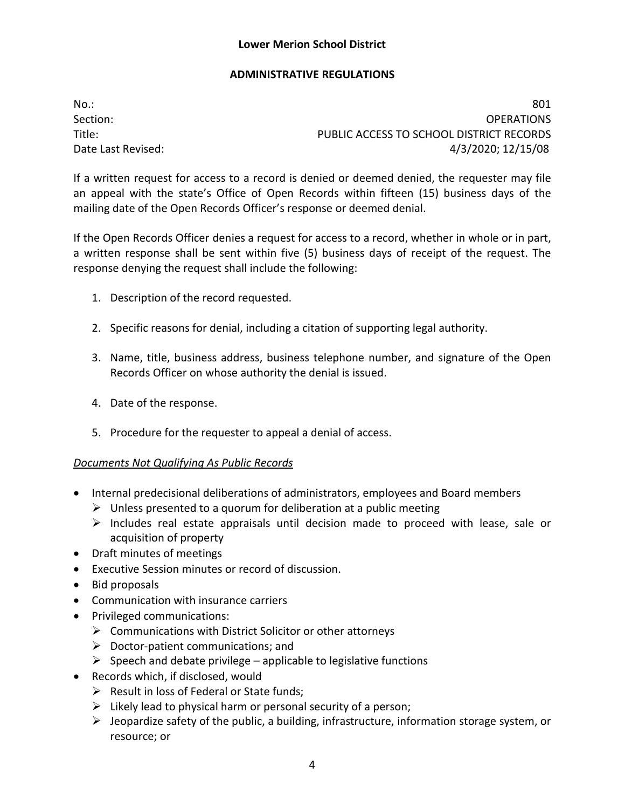No.: 801 Section: OPERATIONS Title: PUBLIC ACCESS TO SCHOOL DISTRICT RECORDS Date Last Revised: 4/3/2020; 12/15/08

If a written request for access to a record is denied or deemed denied, the requester may file an appeal with the state's Office of Open Records within fifteen (15) business days of the mailing date of the Open Records Officer's response or deemed denial.

If the Open Records Officer denies a request for access to a record, whether in whole or in part, a written response shall be sent within five (5) business days of receipt of the request. The response denying the request shall include the following:

- 1. Description of the record requested.
- 2. Specific reasons for denial, including a citation of supporting legal authority.
- 3. Name, title, business address, business telephone number, and signature of the Open Records Officer on whose authority the denial is issued.
- 4. Date of the response.
- 5. Procedure for the requester to appeal a denial of access.

### *Documents Not Qualifying As Public Records*

- Internal predecisional deliberations of administrators, employees and Board members
	- $\triangleright$  Unless presented to a quorum for deliberation at a public meeting
	- $\triangleright$  Includes real estate appraisals until decision made to proceed with lease, sale or acquisition of property
- Draft minutes of meetings
- Executive Session minutes or record of discussion.
- Bid proposals
- Communication with insurance carriers
- Privileged communications:
	- $\triangleright$  Communications with District Solicitor or other attorneys
	- $\triangleright$  Doctor-patient communications; and
	- $\triangleright$  Speech and debate privilege applicable to legislative functions
- Records which, if disclosed, would
	- $\triangleright$  Result in loss of Federal or State funds;
	- $\triangleright$  Likely lead to physical harm or personal security of a person;
	- $\triangleright$  Jeopardize safety of the public, a building, infrastructure, information storage system, or resource; or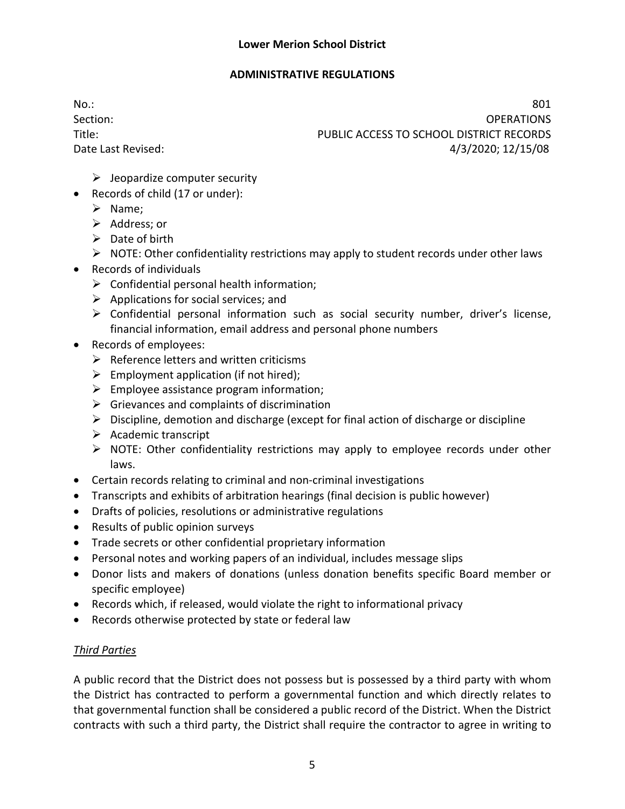No.: 801 Section: OPERATIONS Title: PUBLIC ACCESS TO SCHOOL DISTRICT RECORDS Date Last Revised: 4/3/2020; 12/15/08

- $\triangleright$  Jeopardize computer security
- Records of child (17 or under):
	- $\triangleright$  Name:
	- $\triangleright$  Address; or
	- $\triangleright$  Date of birth
	- $\triangleright$  NOTE: Other confidentiality restrictions may apply to student records under other laws
- Records of individuals
	- $\triangleright$  Confidential personal health information;
	- $\triangleright$  Applications for social services; and
	- Confidential personal information such as social security number, driver's license, financial information, email address and personal phone numbers
- Records of employees:
	- $\triangleright$  Reference letters and written criticisms
	- $\triangleright$  Employment application (if not hired);
	- $\triangleright$  Employee assistance program information;
	- $\triangleright$  Grievances and complaints of discrimination
	- $\triangleright$  Discipline, demotion and discharge (except for final action of discharge or discipline
	- $\triangleright$  Academic transcript
	- $\triangleright$  NOTE: Other confidentiality restrictions may apply to employee records under other laws.
- Certain records relating to criminal and non-criminal investigations
- Transcripts and exhibits of arbitration hearings (final decision is public however)
- Drafts of policies, resolutions or administrative regulations
- Results of public opinion surveys
- Trade secrets or other confidential proprietary information
- Personal notes and working papers of an individual, includes message slips
- Donor lists and makers of donations (unless donation benefits specific Board member or specific employee)
- Records which, if released, would violate the right to informational privacy
- Records otherwise protected by state or federal law

# *Third Parties*

A public record that the District does not possess but is possessed by a third party with whom the District has contracted to perform a governmental function and which directly relates to that governmental function shall be considered a public record of the District. When the District contracts with such a third party, the District shall require the contractor to agree in writing to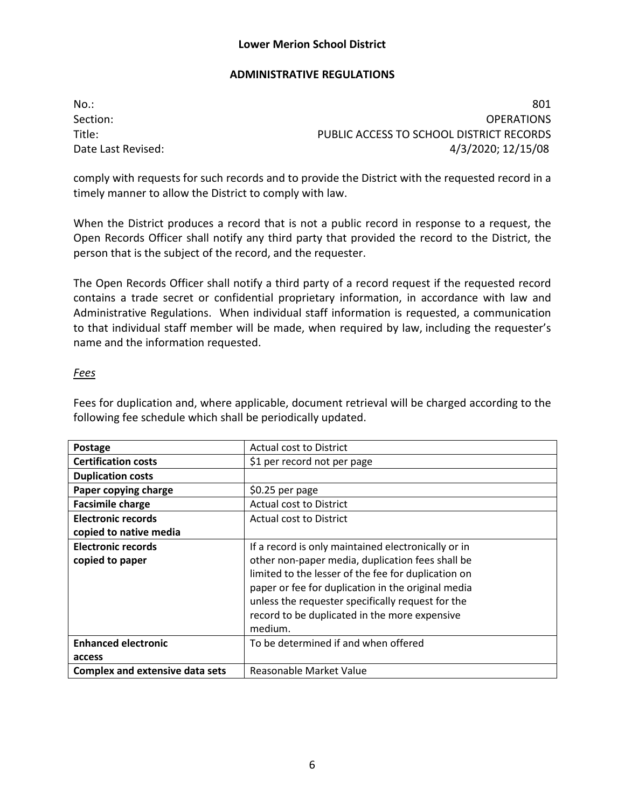No.: 801 Section: OPERATIONS Title: PUBLIC ACCESS TO SCHOOL DISTRICT RECORDS Date Last Revised: 4/3/2020; 12/15/08

comply with requests for such records and to provide the District with the requested record in a timely manner to allow the District to comply with law.

When the District produces a record that is not a public record in response to a request, the Open Records Officer shall notify any third party that provided the record to the District, the person that is the subject of the record, and the requester.

The Open Records Officer shall notify a third party of a record request if the requested record contains a trade secret or confidential proprietary information, in accordance with law and Administrative Regulations. When individual staff information is requested, a communication to that individual staff member will be made, when required by law, including the requester's name and the information requested.

### *Fees*

Fees for duplication and, where applicable, document retrieval will be charged according to the following fee schedule which shall be periodically updated.

| Postage                                | Actual cost to District                             |
|----------------------------------------|-----------------------------------------------------|
| <b>Certification costs</b>             | \$1 per record not per page                         |
| <b>Duplication costs</b>               |                                                     |
| Paper copying charge                   | $$0.25$ per page                                    |
| <b>Facsimile charge</b>                | Actual cost to District                             |
| <b>Electronic records</b>              | Actual cost to District                             |
| copied to native media                 |                                                     |
| <b>Electronic records</b>              | If a record is only maintained electronically or in |
| copied to paper                        | other non-paper media, duplication fees shall be    |
|                                        | limited to the lesser of the fee for duplication on |
|                                        | paper or fee for duplication in the original media  |
|                                        | unless the requester specifically request for the   |
|                                        | record to be duplicated in the more expensive       |
|                                        | medium.                                             |
| <b>Enhanced electronic</b>             | To be determined if and when offered                |
| access                                 |                                                     |
| <b>Complex and extensive data sets</b> | Reasonable Market Value                             |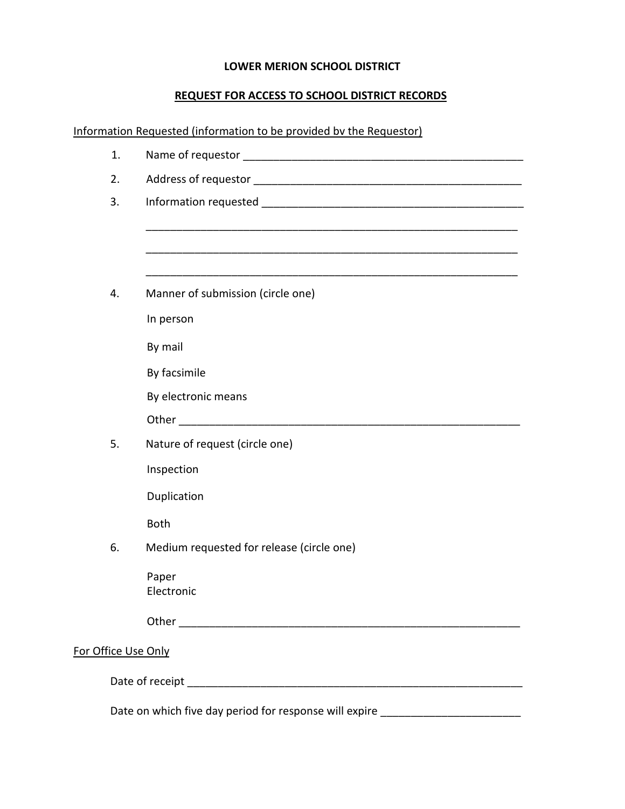## **LOWER MERION SCHOOL DISTRICT**

# **REQUEST FOR ACCESS TO SCHOOL DISTRICT RECORDS**

Information Requested (information to be provided bv the Requestor)

|                     | 1.                                                                               |                                                                                                               |  |
|---------------------|----------------------------------------------------------------------------------|---------------------------------------------------------------------------------------------------------------|--|
|                     | 2.                                                                               |                                                                                                               |  |
|                     | 3.                                                                               |                                                                                                               |  |
|                     |                                                                                  |                                                                                                               |  |
|                     |                                                                                  |                                                                                                               |  |
|                     |                                                                                  |                                                                                                               |  |
|                     | 4.                                                                               | Manner of submission (circle one)                                                                             |  |
|                     |                                                                                  | In person                                                                                                     |  |
|                     |                                                                                  | By mail                                                                                                       |  |
|                     |                                                                                  | By facsimile                                                                                                  |  |
|                     |                                                                                  | By electronic means                                                                                           |  |
|                     |                                                                                  | Other and the contract of the contract of the contract of the contract of the contract of the contract of the |  |
|                     | 5.                                                                               | Nature of request (circle one)                                                                                |  |
|                     |                                                                                  | Inspection                                                                                                    |  |
|                     |                                                                                  | Duplication                                                                                                   |  |
|                     |                                                                                  | <b>Both</b>                                                                                                   |  |
|                     | 6.                                                                               | Medium requested for release (circle one)                                                                     |  |
|                     |                                                                                  | Paper                                                                                                         |  |
|                     |                                                                                  | Electronic                                                                                                    |  |
|                     |                                                                                  |                                                                                                               |  |
| For Office Use Only |                                                                                  |                                                                                                               |  |
|                     |                                                                                  |                                                                                                               |  |
|                     |                                                                                  |                                                                                                               |  |
|                     | Date on which five day period for response will expire _________________________ |                                                                                                               |  |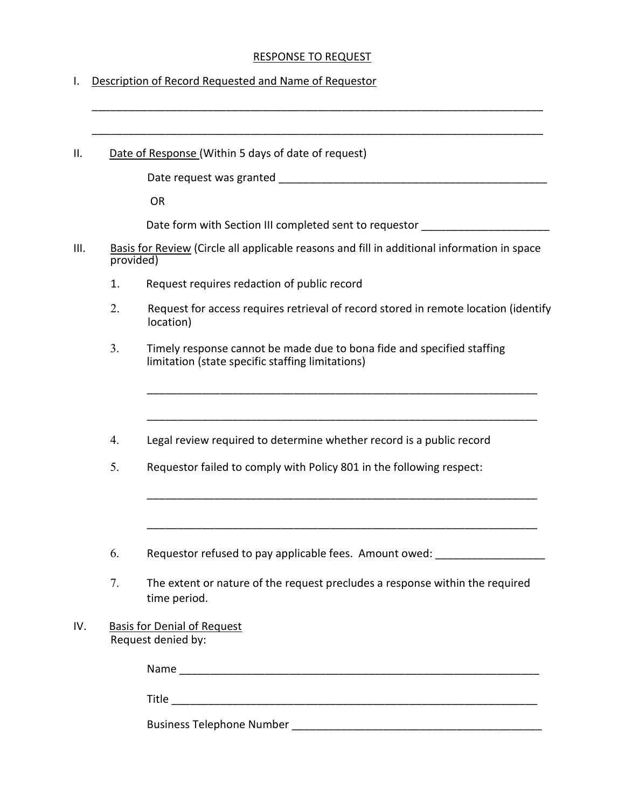### RESPONSE TO REQUEST

I. Description of Record Requested and Name of Requestor

|    | Date of Response (Within 5 days of date of request)                                                                        |
|----|----------------------------------------------------------------------------------------------------------------------------|
|    |                                                                                                                            |
|    | <b>OR</b>                                                                                                                  |
|    | Date form with Section III completed sent to requestor                                                                     |
|    | Basis for Review (Circle all applicable reasons and fill in additional information in space<br>provided)                   |
| 1. | Request requires redaction of public record                                                                                |
| 2. | Request for access requires retrieval of record stored in remote location (identify<br>location)                           |
| 3. | Timely response cannot be made due to bona fide and specified staffing<br>limitation (state specific staffing limitations) |
|    |                                                                                                                            |
| 4. | Legal review required to determine whether record is a public record                                                       |
| 5. | Requestor failed to comply with Policy 801 in the following respect:                                                       |
|    |                                                                                                                            |
| 6. | Requestor refused to pay applicable fees. Amount owed:                                                                     |
| 7. | The extent or nature of the request precludes a response within the required<br>time period.                               |
|    | <b>Basis for Denial of Request</b><br>Request denied by:                                                                   |
|    |                                                                                                                            |
|    |                                                                                                                            |
|    |                                                                                                                            |